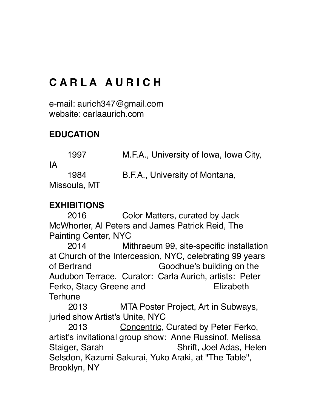# **C A R L A A U R I C H**

e-mail: aurich347@gmail.com website: carlaaurich.com

# **EDUCATION**

1997 M.F.A., University of Iowa, Iowa City, IA 1984 B.F.A., University of Montana, Missoula, MT

# **EXHIBITIONS**

2016 Color Matters, curated by Jack McWhorter, Al Peters and James Patrick Reid, The Painting Center, NYC

2014 Mithraeum 99, site-specific installation at Church of the Intercession, NYC, celebrating 99 years of Bertrand Goodhue's building on the Audubon Terrace. Curator: Carla Aurich, artists: Peter Ferko, Stacy Greene and Elizabeth **Terhune** 

2013 MTA Poster Project, Art in Subways, juried show Artist's Unite, NYC

 2013 Concentric, Curated by Peter Ferko, artist's invitational group show: Anne Russinof, Melissa Staiger, Sarah Shrift, Joel Adas, Helen Selsdon, Kazumi Sakurai, Yuko Araki, at "The Table", Brooklyn, NY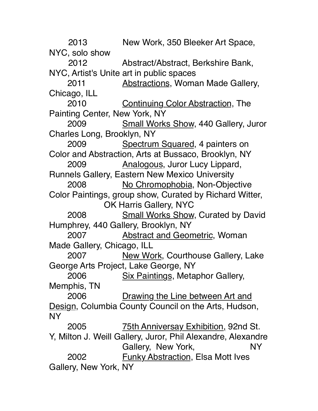2013 New Work, 350 Bleeker Art Space, NYC, solo show 2012 Abstract/Abstract, Berkshire Bank, NYC, Artist's Unite art in public spaces 2011 Abstractions, Woman Made Gallery, Chicago, ILL 2010 Continuing Color Abstraction, The Painting Center, New York, NY 2009 Small Works Show, 440 Gallery, Juror Charles Long, Brooklyn, NY 2009 Spectrum Squared, 4 painters on Color and Abstraction, Arts at Bussaco, Brooklyn, NY 2009 Analogous, Juror Lucy Lippard, Runnels Gallery, Eastern New Mexico University 2008 No Chromophobia, Non-Objective Color Paintings, group show, Curated by Richard Witter, OK Harris Gallery, NYC 2008 Small Works Show, Curated by David Humphrey, 440 Gallery, Brooklyn, NY 2007 Abstract and Geometric, Woman Made Gallery, Chicago, ILL 2007 New Work, Courthouse Gallery, Lake George Arts Project, Lake George, NY 2006 Six Paintings, Metaphor Gallery, Memphis, TN 2006 Drawing the Line between Art and Design, Columbia County Council on the Arts, Hudson, NY 2005 75th Anniversay Exhibition, 92nd St. Y, Milton J. Weill Gallery, Juror, Phil Alexandre, Alexandre Gallery, New York, NY 2002 Funky Abstraction, Elsa Mott Ives Gallery, New York, NY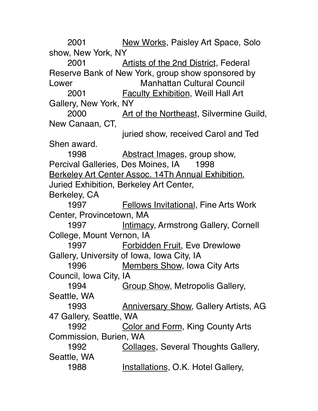2001 New Works, Paisley Art Space, Solo show, New York, NY 2001 Artists of the 2nd District, Federal Reserve Bank of New York, group show sponsored by Lower **Manhattan Cultural Council** 2001 Faculty Exhibition, Weill Hall Art Gallery, New York, NY 2000 Art of the Northeast, Silvermine Guild, New Canaan, CT, juried show, received Carol and Ted Shen award. 1998 **Abstract Images, group show,** Percival Galleries, Des Moines, IA 1998 Berkeley Art Center Assoc. 14Th Annual Exhibition, Juried Exhibition, Berkeley Art Center, Berkeley, CA 1997 Fellows Invitational, Fine Arts Work Center, Provincetown, MA 1997 **Intimacy, Armstrong Gallery, Cornell** College, Mount Vernon, IA 1997 Forbidden Fruit, Eve Drewlowe Gallery, University of Iowa, Iowa City, IA 1996 Members Show, Iowa City Arts Council, Iowa City, IA 1994 **Group Show, Metropolis Gallery,** Seattle, WA 1993 Anniversary Show, Gallery Artists, AG 47 Gallery, Seattle, WA 1992 Color and Form, King County Arts Commission, Burien, WA 1992 Collages, Several Thoughts Gallery, Seattle, WA 1988 Installations, O.K. Hotel Gallery,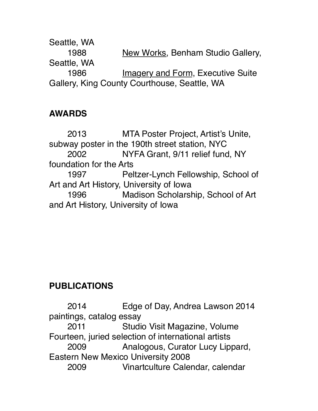Seattle, WA 1988 New Works, Benham Studio Gallery, Seattle, WA 1986 **Imagery and Form, Executive Suite** Gallery, King County Courthouse, Seattle, WA

### **AWARDS**

2013 MTA Poster Project, Artist's Unite, subway poster in the 190th street station, NYC 2002 NYFA Grant, 9/11 relief fund, NY foundation for the Arts 1997 Peltzer-Lynch Fellowship, School of Art and Art History, University of Iowa 1996 Madison Scholarship, School of Art and Art History, University of Iowa

# **PUBLICATIONS**

2014 Edge of Day, Andrea Lawson 2014 paintings, catalog essay 2011 Studio Visit Magazine, Volume Fourteen, juried selection of international artists 2009 Analogous, Curator Lucy Lippard, Eastern New Mexico University 2008 2009 Vinartculture Calendar, calendar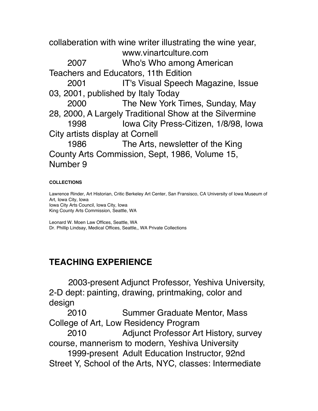collaberation with wine writer illustrating the wine year, www.vinartculture.com

2007 Who's Who among American Teachers and Educators, 11th Edition

2001 IT's Visual Speech Magazine, Issue 03, 2001, published by Italy Today

2000 The New York Times, Sunday, May 28, 2000, A Largely Traditional Show at the Silvermine 1998 Iowa City Press-Citizen, 1/8/98, Iowa City artists display at Cornell

1986 The Arts, newsletter of the King County Arts Commission, Sept, 1986, Volume 15, Number 9

#### **COLLECTIONS**

Lawrence Rinder, Art Historian, Critic Berkeley Art Center, San Fransisco, CA University of Iowa Museum of Art, Iowa City, Iowa Iowa City Arts Council, Iowa City, Iowa King County Arts Commission, Seattle, WA

Leonard W. Moen Law Offices, Seattle, WA Dr. Phillip Lindsay, Medical Offices, Seattle,, WA Private Collections

## **TEACHING EXPERIENCE**

2003-present Adjunct Professor, Yeshiva University, 2-D dept: painting, drawing, printmaking, color and design

2010 Summer Graduate Mentor, Mass College of Art, Low Residency Program

2010 Adjunct Professor Art History, survey course, mannerism to modern, Yeshiva University

1999-present Adult Education Instructor, 92nd Street Y, School of the Arts, NYC, classes: Intermediate